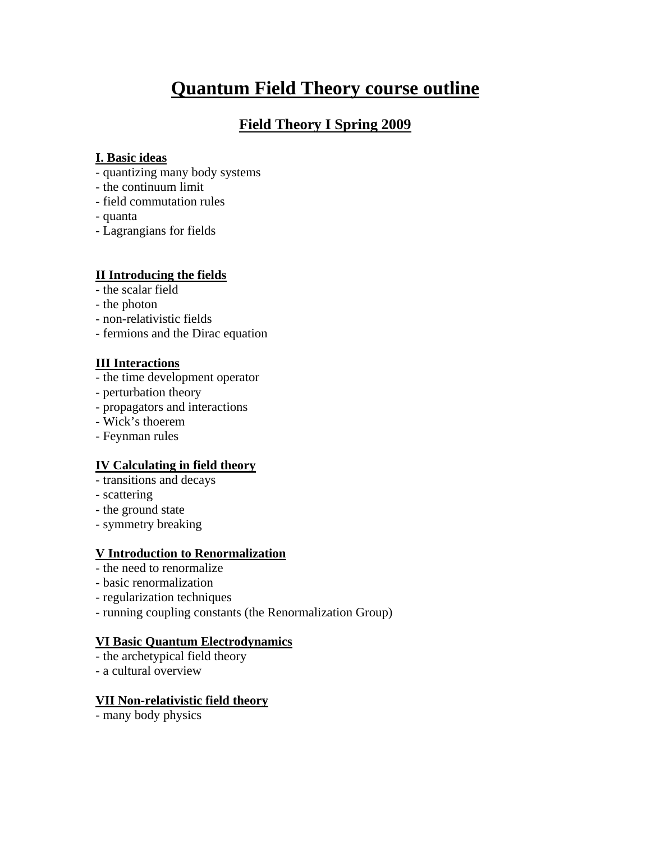# **Quantum Field Theory course outline**

## **Field Theory I Spring 2009**

#### **I. Basic ideas**

- quantizing many body systems
- the continuum limit
- field commutation rules
- quanta
- Lagrangians for fields

#### **II Introducing the fields**

- the scalar field
- the photon
- non-relativistic fields
- fermions and the Dirac equation

#### **III Interactions**

- the time development operator
- perturbation theory
- propagators and interactions
- Wick's thoerem
- Feynman rules

#### **IV Calculating in field theory**

- transitions and decays
- scattering
- the ground state
- symmetry breaking

#### **V Introduction to Renormalization**

- the need to renormalize
- basic renormalization
- regularization techniques
- running coupling constants (the Renormalization Group)

#### **VI Basic Quantum Electrodynamics**

- the archetypical field theory
- a cultural overview

#### **VII Non-relativistic field theory**

- many body physics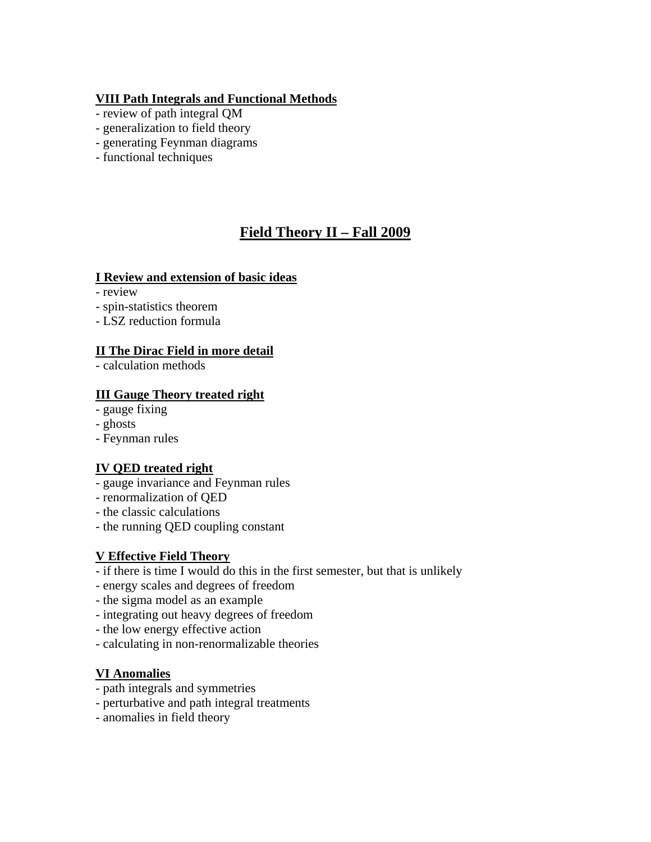#### **VIII Path Integrals and Functional Methods**

- review of path integral QM
- generalization to field theory
- generating Feynman diagrams
- functional techniques

# **Field Theory II – Fall 2009**

#### **I Review and extension of basic ideas**

- review
- spin-statistics theorem
- LSZ reduction formula

#### **II The Dirac Field in more detail**

- calculation methods

#### **III Gauge Theory treated right**

- gauge fixing
- ghosts
- Feynman rules

### **IV QED treated right**

- gauge invariance and Feynman rules
- renormalization of QED
- the classic calculations
- the running QED coupling constant

### **V Effective Field Theory**

- if there is time I would do this in the first semester, but that is unlikely
- energy scales and degrees of freedom
- the sigma model as an example
- integrating out heavy degrees of freedom
- the low energy effective action
- calculating in non-renormalizable theories

### **VI Anomalies**

- path integrals and symmetries
- perturbative and path integral treatments
- anomalies in field theory